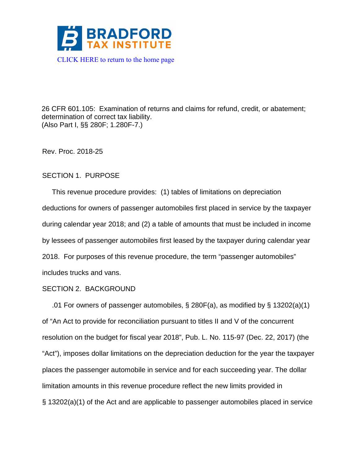

26 CFR 601.105: Examination of returns and claims for refund, credit, or abatement; determination of correct tax liability. (Also Part I, §§ 280F; 1.280F-7.)

Rev. Proc. 2018-25

## SECTION 1. PURPOSE

 This revenue procedure provides: (1) tables of limitations on depreciation deductions for owners of passenger automobiles first placed in service by the taxpayer during calendar year 2018; and (2) a table of amounts that must be included in income by lessees of passenger automobiles first leased by the taxpayer during calendar year 2018. For purposes of this revenue procedure, the term "passenger automobiles" includes trucks and vans.

## SECTION 2. BACKGROUND

 .01 For owners of passenger automobiles, § 280F(a), as modified by § 13202(a)(1) of "An Act to provide for reconciliation pursuant to titles II and V of the concurrent resolution on the budget for fiscal year 2018", Pub. L. No. 115-97 (Dec. 22, 2017) (the "Act"), imposes dollar limitations on the depreciation deduction for the year the taxpayer places the passenger automobile in service and for each succeeding year. The dollar limitation amounts in this revenue procedure reflect the new limits provided in § 13202(a)(1) of the Act and are applicable to passenger automobiles placed in service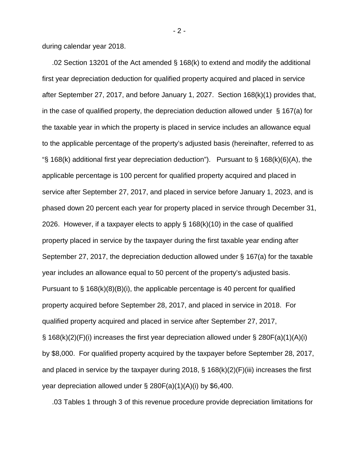during calendar year 2018.

 .02 Section 13201 of the Act amended § 168(k) to extend and modify the additional first year depreciation deduction for qualified property acquired and placed in service after September 27, 2017, and before January 1, 2027. Section 168(k)(1) provides that, in the case of qualified property, the depreciation deduction allowed under  $\S$  167(a) for the taxable year in which the property is placed in service includes an allowance equal to the applicable percentage of the property's adjusted basis (hereinafter, referred to as " $\S$  168(k) additional first year depreciation deduction"). Pursuant to  $\S$  168(k)(6)(A), the applicable percentage is 100 percent for qualified property acquired and placed in service after September 27, 2017, and placed in service before January 1, 2023, and is phased down 20 percent each year for property placed in service through December 31, 2026. However, if a taxpayer elects to apply  $\S$  168(k)(10) in the case of qualified property placed in service by the taxpayer during the first taxable year ending after September 27, 2017, the depreciation deduction allowed under § 167(a) for the taxable year includes an allowance equal to 50 percent of the property's adjusted basis. Pursuant to  $\S$  168(k)(8)(B)(i), the applicable percentage is 40 percent for qualified property acquired before September 28, 2017, and placed in service in 2018. For qualified property acquired and placed in service after September 27, 2017,  $\S$  168(k)(2)(F)(i) increases the first year depreciation allowed under  $\S$  280F(a)(1)(A)(i) by \$8,000. For qualified property acquired by the taxpayer before September 28, 2017, and placed in service by the taxpayer during 2018,  $\S$  168(k)(2)(F)(iii) increases the first year depreciation allowed under  $\S 280F(a)(1)(A)(i)$  by \$6,400.

.03 Tables 1 through 3 of this revenue procedure provide depreciation limitations for

- 2 -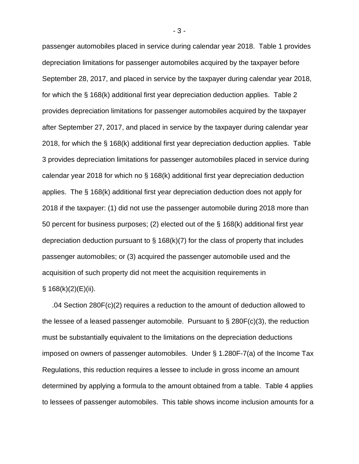passenger automobiles placed in service during calendar year 2018. Table 1 provides depreciation limitations for passenger automobiles acquired by the taxpayer before September 28, 2017, and placed in service by the taxpayer during calendar year 2018, for which the § 168(k) additional first year depreciation deduction applies. Table 2 provides depreciation limitations for passenger automobiles acquired by the taxpayer after September 27, 2017, and placed in service by the taxpayer during calendar year 2018, for which the § 168(k) additional first year depreciation deduction applies. Table 3 provides depreciation limitations for passenger automobiles placed in service during calendar year 2018 for which no § 168(k) additional first year depreciation deduction applies. The § 168(k) additional first year depreciation deduction does not apply for 2018 if the taxpayer: (1) did not use the passenger automobile during 2018 more than 50 percent for business purposes; (2) elected out of the § 168(k) additional first year depreciation deduction pursuant to  $\S$  168(k)(7) for the class of property that includes passenger automobiles; or (3) acquired the passenger automobile used and the acquisition of such property did not meet the acquisition requirements in  $§ 168(k)(2)(E)(ii).$ 

 .04 Section 280F(c)(2) requires a reduction to the amount of deduction allowed to the lessee of a leased passenger automobile. Pursuant to  $\S 280F(c)(3)$ , the reduction must be substantially equivalent to the limitations on the depreciation deductions imposed on owners of passenger automobiles. Under § 1.280F-7(a) of the Income Tax Regulations, this reduction requires a lessee to include in gross income an amount determined by applying a formula to the amount obtained from a table. Table 4 applies to lessees of passenger automobiles. This table shows income inclusion amounts for a

- 3 -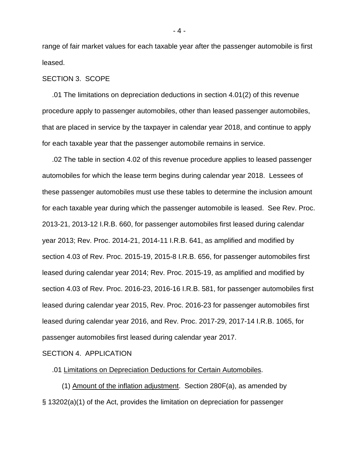range of fair market values for each taxable year after the passenger automobile is first leased.

#### SECTION 3. SCOPE

 .01 The limitations on depreciation deductions in section 4.01(2) of this revenue procedure apply to passenger automobiles, other than leased passenger automobiles, that are placed in service by the taxpayer in calendar year 2018, and continue to apply for each taxable year that the passenger automobile remains in service.

 .02 The table in section 4.02 of this revenue procedure applies to leased passenger automobiles for which the lease term begins during calendar year 2018. Lessees of these passenger automobiles must use these tables to determine the inclusion amount for each taxable year during which the passenger automobile is leased. See Rev. Proc. 2013-21, 2013-12 I.R.B. 660, for passenger automobiles first leased during calendar year 2013; Rev. Proc. 2014-21, 2014-11 I.R.B. 641, as amplified and modified by section 4.03 of Rev. Proc. 2015-19, 2015-8 I.R.B. 656, for passenger automobiles first leased during calendar year 2014; Rev. Proc. 2015-19, as amplified and modified by section 4.03 of Rev. Proc. 2016-23, 2016-16 I.R.B. 581, for passenger automobiles first leased during calendar year 2015, Rev. Proc. 2016-23 for passenger automobiles first leased during calendar year 2016, and Rev. Proc. 2017-29, 2017-14 I.R.B. 1065, for passenger automobiles first leased during calendar year 2017.

SECTION 4. APPLICATION

.01 Limitations on Depreciation Deductions for Certain Automobiles.

 (1) Amount of the inflation adjustment. Section 280F(a), as amended by § 13202(a)(1) of the Act, provides the limitation on depreciation for passenger

- 4 -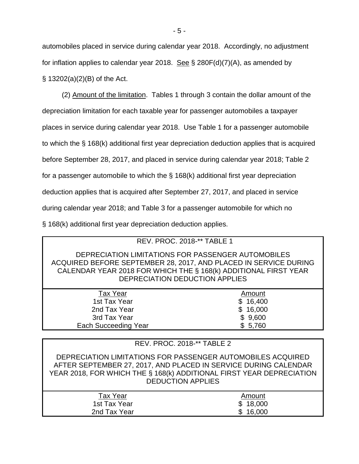automobiles placed in service during calendar year 2018. Accordingly, no adjustment for inflation applies to calendar year 2018. See  $\S$  280F(d)(7)(A), as amended by § 13202(a)(2)(B) of the Act.

 (2) Amount of the limitation. Tables 1 through 3 contain the dollar amount of the depreciation limitation for each taxable year for passenger automobiles a taxpayer places in service during calendar year 2018. Use Table 1 for a passenger automobile to which the § 168(k) additional first year depreciation deduction applies that is acquired before September 28, 2017, and placed in service during calendar year 2018; Table 2 for a passenger automobile to which the § 168(k) additional first year depreciation deduction applies that is acquired after September 27, 2017, and placed in service during calendar year 2018; and Table 3 for a passenger automobile for which no § 168(k) additional first year depreciation deduction applies.

| <b>REV. PROC. 2018-** TABLE 1</b>                                                                                                                                                                                           |          |  |  |  |  |  |
|-----------------------------------------------------------------------------------------------------------------------------------------------------------------------------------------------------------------------------|----------|--|--|--|--|--|
| DEPRECIATION LIMITATIONS FOR PASSENGER AUTOMOBILES<br>ACQUIRED BEFORE SEPTEMBER 28, 2017, AND PLACED IN SERVICE DURING<br>CALENDAR YEAR 2018 FOR WHICH THE § 168(k) ADDITIONAL FIRST YEAR<br>DEPRECIATION DEDUCTION APPLIES |          |  |  |  |  |  |
| <b>Tax Year</b>                                                                                                                                                                                                             | Amount   |  |  |  |  |  |
| 1st Tax Year                                                                                                                                                                                                                | \$16,400 |  |  |  |  |  |
| 2nd Tax Year                                                                                                                                                                                                                | \$16,000 |  |  |  |  |  |
| 3rd Tax Year                                                                                                                                                                                                                | \$9,600  |  |  |  |  |  |
| <b>Each Succeeding Year</b>                                                                                                                                                                                                 | \$5,760  |  |  |  |  |  |
|                                                                                                                                                                                                                             |          |  |  |  |  |  |
| PROC. $2018-*TARI F.2$<br>REV.                                                                                                                                                                                              |          |  |  |  |  |  |

| DEPRECIATION LIMITATIONS FOR PASSENGER AUTOMOBILES ACQUIRED<br>AFTER SEPTEMBER 27, 2017, AND PLACED IN SERVICE DURING CALENDAR<br>YEAR 2018, FOR WHICH THE § 168(k) ADDITIONAL FIRST YEAR DEPRECIATION<br><b>DEDUCTION APPLIES</b> |        |
|------------------------------------------------------------------------------------------------------------------------------------------------------------------------------------------------------------------------------------|--------|
| <b>Tax Year</b>                                                                                                                                                                                                                    | Amount |

1st Tax Year **\$ 18,000** 2nd Tax Year \$ 16,000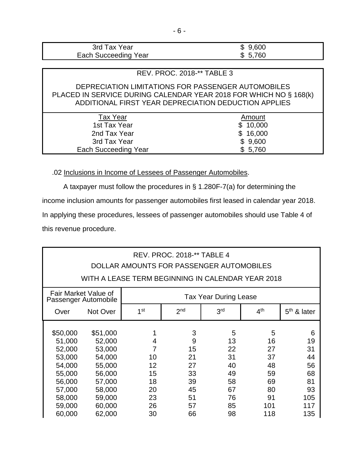| 3rd Tax Year         | \$9,600 |
|----------------------|---------|
| Each Succeeding Year | \$5,760 |

### REV. PROC. 2018-\*\* TABLE 3

## DEPRECIATION LIMITATIONS FOR PASSENGER AUTOMOBILES PLACED IN SERVICE DURING CALENDAR YEAR 2018 FOR WHICH NO § 168(k) ADDITIONAL FIRST YEAR DEPRECIATION DEDUCTION APPLIES

| Tax Year             | Amount   |
|----------------------|----------|
| 1st Tax Year         | \$10,000 |
| 2nd Tax Year         | \$16,000 |
| 3rd Tax Year         | \$9,600  |
| Each Succeeding Year | \$5,760  |

.02 Inclusions in Income of Lessees of Passenger Automobiles.

A taxpayer must follow the procedures in § 1.280F-7(a) for determining the income inclusion amounts for passenger automobiles first leased in calendar year 2018. In applying these procedures, lessees of passenger automobiles should use Table 4 of this revenue procedure.

# REV. PROC. 2018-\*\* TABLE 4 DOLLAR AMOUNTS FOR PASSENGER AUTOMOBILES WITH A LEASE TERM BEGINNING IN CALENDAR YEAR 2018 Fair Market Value of Tail Market Value of Tax Year During Lease<br>Passenger Automobile Over Not Over  $1$  1<sup>st</sup>  $1$  2<sup>nd</sup>  $3$ <sup>rd</sup>  $4$ <sup>th</sup>  $5$ <sup>th</sup> & later \$50,000 \$51,000 1 3 5 5 6 51,000 52,000 4 9 13 16 19 52,000 53,000 7 15 22 27 31 53,000 54,000 10 21 31 37 44 54,000 55,000 12 27 40 48 56 55,000 56,000 15 33 49 59 68 56,000 57,000 18 39 58 69 81 57,000 58,000 20 45 67 80 93 58,000 59,000 23 51 76 91 105 59,000 60,000 26 57 85 101 117 60,000 62,000 30 66 98 118 135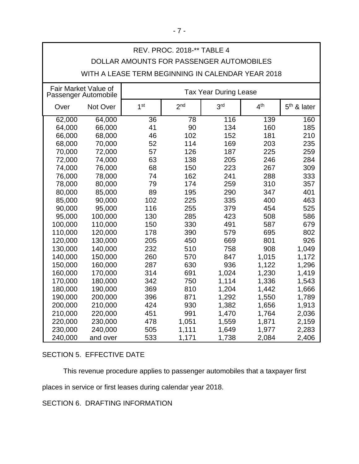| REV. PROC. 2018-** TABLE 4               |                                                   |                 |                              |                  |                 |               |  |
|------------------------------------------|---------------------------------------------------|-----------------|------------------------------|------------------|-----------------|---------------|--|
| DOLLAR AMOUNTS FOR PASSENGER AUTOMOBILES |                                                   |                 |                              |                  |                 |               |  |
|                                          | WITH A LEASE TERM BEGINNING IN CALENDAR YEAR 2018 |                 |                              |                  |                 |               |  |
|                                          | Fair Market Value of<br>Passenger Automobile      |                 | <b>Tax Year During Lease</b> |                  |                 |               |  |
| Over                                     | Not Over                                          | 1 <sup>st</sup> | 2 <sub>nd</sub>              | 3 <sup>rd</sup>  | 4 <sup>th</sup> | $5th$ & later |  |
| 62,000                                   | 64,000                                            | $\overline{36}$ | $\overline{78}$              | $\overline{116}$ | 139             | 160           |  |
| 64,000                                   | 66,000                                            | 41              | 90                           | 134              | 160             | 185           |  |
| 66,000                                   | 68,000                                            | 46              | 102                          | 152              | 181             | 210           |  |
| 68,000                                   | 70,000                                            | 52              | 114                          | 169              | 203             | 235           |  |
| 70,000                                   | 72,000                                            | 57              | 126                          | 187              | 225             | 259           |  |
| 72,000                                   | 74,000                                            | 63              | 138                          | 205              | 246             | 284           |  |
| 74,000                                   | 76,000                                            | 68              | 150                          | 223              | 267             | 309           |  |
| 76,000                                   | 78,000                                            | 74              | 162                          | 241              | 288             | 333           |  |
| 78,000                                   | 80,000                                            | 79              | 174                          | 259              | 310             | 357           |  |
| 80,000                                   | 85,000                                            | 89              | 195                          | 290              | 347             | 401           |  |
| 85,000                                   | 90,000                                            | 102             | 225                          | 335              | 400             | 463           |  |
| 90,000                                   | 95,000                                            | 116             | 255                          | 379              | 454             | 525           |  |
| 95,000                                   | 100,000                                           | 130             | 285                          | 423              | 508             | 586           |  |
| 100,000                                  | 110,000                                           | 150             | 330                          | 491              | 587             | 679           |  |
| 110,000                                  | 120,000                                           | 178             | 390                          | 579              | 695             | 802           |  |
| 120,000                                  | 130,000                                           | 205             | 450                          | 669              | 801             | 926           |  |
| 130,000                                  | 140,000                                           | 232             | 510                          | 758              | 908             | 1,049         |  |
| 140,000                                  | 150,000                                           | 260             | 570                          | 847              | 1,015           | 1,172         |  |
| 150,000                                  | 160,000                                           | 287             | 630                          | 936              | 1,122           | 1,296         |  |
| 160,000                                  | 170,000                                           | 314             | 691                          | 1,024            | 1,230           | 1,419         |  |
| 170,000                                  | 180,000                                           | 342             | 750                          | 1,114            | 1,336           | 1,543         |  |
| 180,000                                  | 190,000                                           | 369             | 810                          | 1,204            | 1,442           | 1,666         |  |
| 190,000                                  | 200,000                                           | 396             | 871                          | 1,292            | 1,550           | 1,789         |  |
| 200,000                                  | 210,000                                           | 424             | 930                          | 1,382            | 1,656           | 1,913         |  |
| 210,000                                  | 220,000                                           | 451             | 991                          | 1,470            | 1,764           | 2,036         |  |
| 220,000                                  | 230,000                                           | 478             | 1,051                        | 1,559            | 1,871           | 2,159         |  |
| 230,000                                  | 240,000                                           | 505             | 1,111                        | 1,649            | 1,977           | 2,283         |  |
| 240,000                                  | and over                                          | 533             | 1,171                        | 1,738            | 2,084           | 2,406         |  |

## SECTION 5. EFFECTIVE DATE

This revenue procedure applies to passenger automobiles that a taxpayer first

places in service or first leases during calendar year 2018.

SECTION 6. DRAFTING INFORMATION